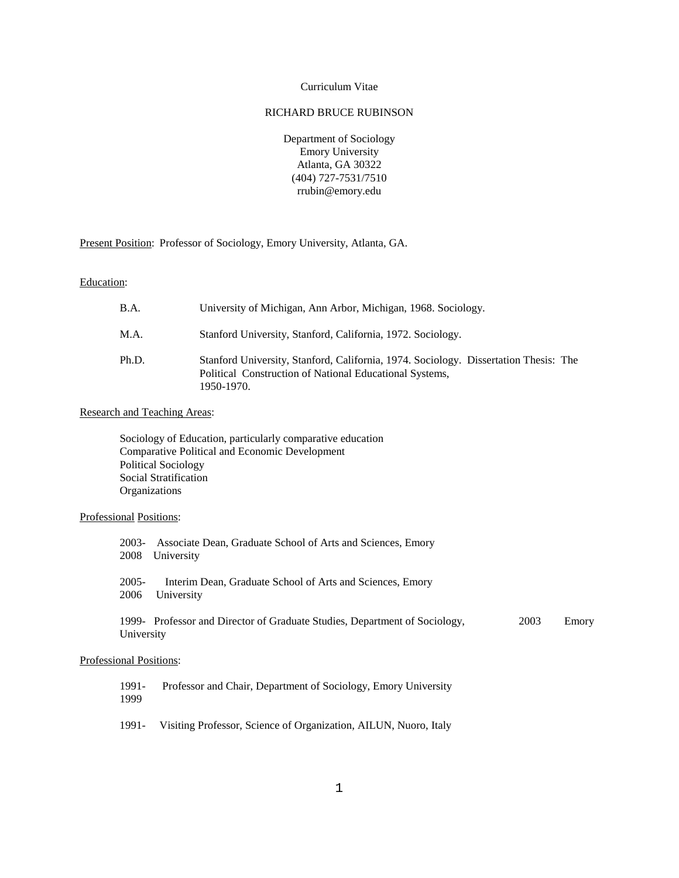# Curriculum Vitae

# RICHARD BRUCE RUBINSON

Department of Sociology Emory University Atlanta, GA 30322 (404) 727-7531/7510 rrubin@emory.edu

Present Position: Professor of Sociology, Emory University, Atlanta, GA.

Education:

| <b>B.A.</b> | University of Michigan, Ann Arbor, Michigan, 1968. Sociology.                                                                                                 |
|-------------|---------------------------------------------------------------------------------------------------------------------------------------------------------------|
| M.A.        | Stanford University, Stanford, California, 1972. Sociology.                                                                                                   |
| Ph.D.       | Stanford University, Stanford, California, 1974. Sociology. Dissertation Thesis: The<br>Political Construction of National Educational Systems,<br>1950-1970. |

### Research and Teaching Areas:

Sociology of Education, particularly comparative education Comparative Political and Economic Development Political Sociology Social Stratification **Organizations** 

### Professional Positions:

| 2003-           | Associate Dean, Graduate School of Arts and Sciences, Emory                |      |       |
|-----------------|----------------------------------------------------------------------------|------|-------|
| 2008            | University                                                                 |      |       |
| $2005-$<br>2006 | Interim Dean, Graduate School of Arts and Sciences, Emory<br>University    |      |       |
| University      | 1999- Professor and Director of Graduate Studies, Department of Sociology, | 2003 | Emory |

### Professional Positions:

1991- Professor and Chair, Department of Sociology, Emory University 1999

1991- Visiting Professor, Science of Organization, AILUN, Nuoro, Italy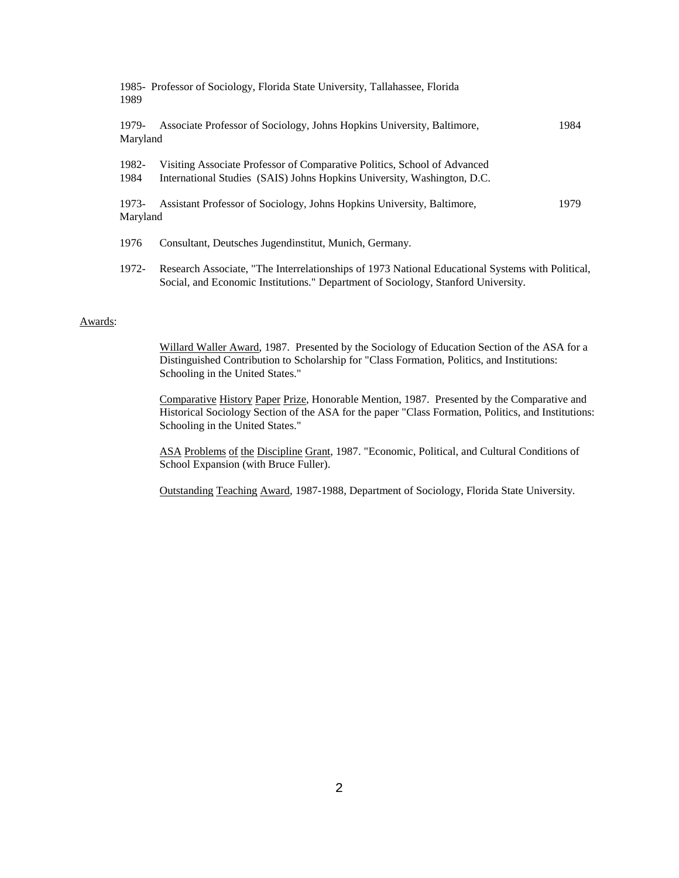| 1989              | 1985- Professor of Sociology, Florida State University, Tallahassee, Florida                                                                        |      |
|-------------------|-----------------------------------------------------------------------------------------------------------------------------------------------------|------|
| 1979-<br>Maryland | Associate Professor of Sociology, Johns Hopkins University, Baltimore,                                                                              | 1984 |
| 1982-<br>1984     | Visiting Associate Professor of Comparative Politics, School of Advanced<br>International Studies (SAIS) Johns Hopkins University, Washington, D.C. |      |
| 1973-<br>Maryland | Assistant Professor of Sociology, Johns Hopkins University, Baltimore,                                                                              | 1979 |
| 1976              | Consultant, Deutsches Jugendinstitut, Munich, Germany.                                                                                              |      |

1972- Research Associate, "The Interrelationships of 1973 National Educational Systems with Political, Social, and Economic Institutions." Department of Sociology, Stanford University.

## Awards:

Willard Waller Award, 1987. Presented by the Sociology of Education Section of the ASA for a Distinguished Contribution to Scholarship for "Class Formation, Politics, and Institutions: Schooling in the United States."

Comparative History Paper Prize, Honorable Mention, 1987. Presented by the Comparative and Historical Sociology Section of the ASA for the paper "Class Formation, Politics, and Institutions: Schooling in the United States."

ASA Problems of the Discipline Grant, 1987. "Economic, Political, and Cultural Conditions of School Expansion (with Bruce Fuller).

Outstanding Teaching Award, 1987-1988, Department of Sociology, Florida State University.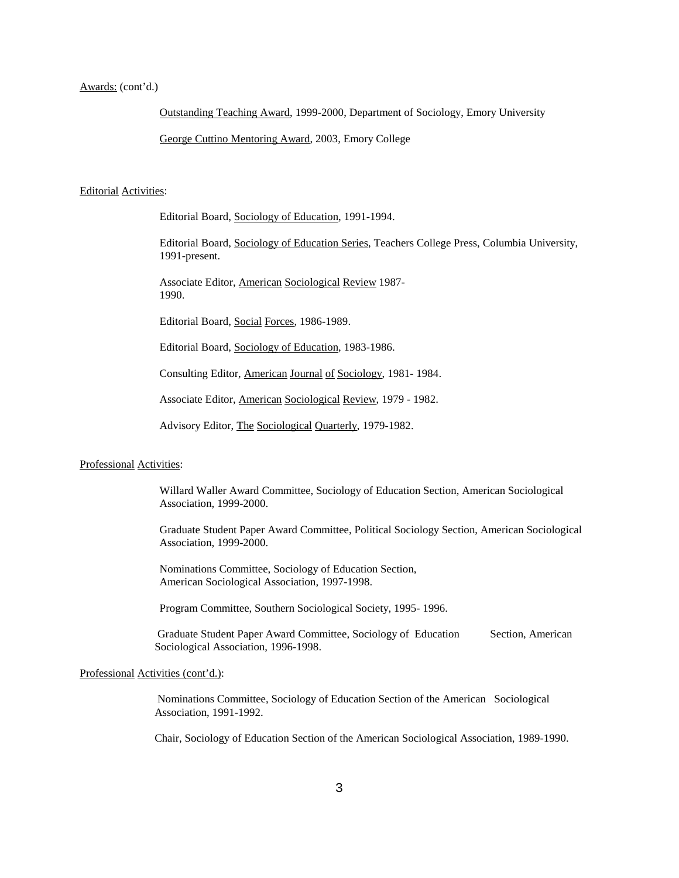### Awards: (cont'd.)

Outstanding Teaching Award, 1999-2000, Department of Sociology, Emory University

George Cuttino Mentoring Award, 2003, Emory College

#### Editorial Activities:

Editorial Board, Sociology of Education, 1991-1994.

Editorial Board, Sociology of Education Series, Teachers College Press, Columbia University, 1991-present.

Associate Editor, American Sociological Review 1987- 1990.

Editorial Board, Social Forces, 1986-1989.

Editorial Board, Sociology of Education, 1983-1986.

Consulting Editor, American Journal of Sociology, 1981- 1984.

Associate Editor, American Sociological Review, 1979 - 1982.

Advisory Editor, The Sociological Quarterly, 1979-1982.

#### Professional Activities:

Willard Waller Award Committee, Sociology of Education Section, American Sociological Association, 1999-2000.

Graduate Student Paper Award Committee, Political Sociology Section, American Sociological Association, 1999-2000.

Nominations Committee, Sociology of Education Section, American Sociological Association, 1997-1998.

Program Committee, Southern Sociological Society, 1995- 1996.

Graduate Student Paper Award Committee, Sociology of Education Section, American Sociological Association, 1996-1998.

#### Professional Activities (cont'd.):

Nominations Committee, Sociology of Education Section of the American Sociological Association, 1991-1992.

Chair, Sociology of Education Section of the American Sociological Association, 1989-1990.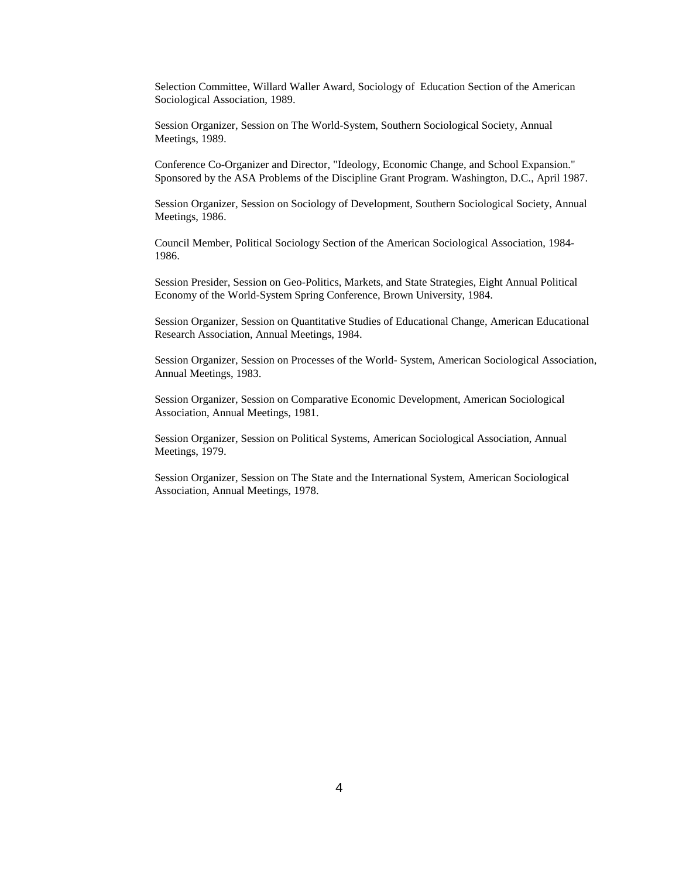Selection Committee, Willard Waller Award, Sociology of Education Section of the American Sociological Association, 1989.

Session Organizer, Session on The World-System, Southern Sociological Society, Annual Meetings, 1989.

Conference Co-Organizer and Director, "Ideology, Economic Change, and School Expansion." Sponsored by the ASA Problems of the Discipline Grant Program. Washington, D.C., April 1987.

Session Organizer, Session on Sociology of Development, Southern Sociological Society, Annual Meetings, 1986.

Council Member, Political Sociology Section of the American Sociological Association, 1984- 1986.

Session Presider, Session on Geo-Politics, Markets, and State Strategies, Eight Annual Political Economy of the World-System Spring Conference, Brown University, 1984.

Session Organizer, Session on Quantitative Studies of Educational Change, American Educational Research Association, Annual Meetings, 1984.

Session Organizer, Session on Processes of the World- System, American Sociological Association, Annual Meetings, 1983.

Session Organizer, Session on Comparative Economic Development, American Sociological Association, Annual Meetings, 1981.

Session Organizer, Session on Political Systems, American Sociological Association, Annual Meetings, 1979.

Session Organizer, Session on The State and the International System, American Sociological Association, Annual Meetings, 1978.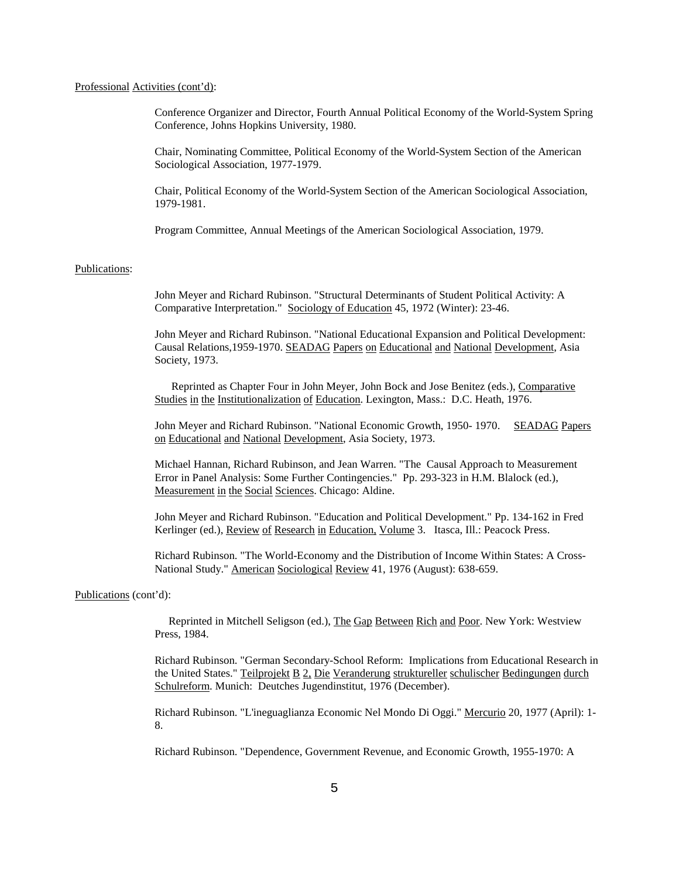## Professional Activities (cont'd):

Conference Organizer and Director, Fourth Annual Political Economy of the World-System Spring Conference, Johns Hopkins University, 1980.

Chair, Nominating Committee, Political Economy of the World-System Section of the American Sociological Association, 1977-1979.

Chair, Political Economy of the World-System Section of the American Sociological Association, 1979-1981.

Program Committee, Annual Meetings of the American Sociological Association, 1979.

#### Publications:

John Meyer and Richard Rubinson. "Structural Determinants of Student Political Activity: A Comparative Interpretation." Sociology of Education 45, 1972 (Winter): 23-46.

John Meyer and Richard Rubinson. "National Educational Expansion and Political Development: Causal Relations,1959-1970. SEADAG Papers on Educational and National Development, Asia Society, 1973.

 Reprinted as Chapter Four in John Meyer, John Bock and Jose Benitez (eds.), Comparative Studies in the Institutionalization of Education. Lexington, Mass.: D.C. Heath, 1976.

John Meyer and Richard Rubinson. "National Economic Growth, 1950- 1970. SEADAG Papers on Educational and National Development, Asia Society, 1973.

Michael Hannan, Richard Rubinson, and Jean Warren. "The Causal Approach to Measurement Error in Panel Analysis: Some Further Contingencies." Pp. 293-323 in H.M. Blalock (ed.), Measurement in the Social Sciences. Chicago: Aldine.

John Meyer and Richard Rubinson. "Education and Political Development." Pp. 134-162 in Fred Kerlinger (ed.), Review of Research in Education, Volume 3. Itasca, Ill.: Peacock Press.

Richard Rubinson. "The World-Economy and the Distribution of Income Within States: A Cross-National Study." American Sociological Review 41, 1976 (August): 638-659.

## Publications (cont'd):

 Reprinted in Mitchell Seligson (ed.), The Gap Between Rich and Poor. New York: Westview Press, 1984.

Richard Rubinson. "German Secondary-School Reform: Implications from Educational Research in the United States." Teilprojekt B 2, Die Veranderung struktureller schulischer Bedingungen durch Schulreform. Munich: Deutches Jugendinstitut, 1976 (December).

Richard Rubinson. "L'ineguaglianza Economic Nel Mondo Di Oggi." Mercurio 20, 1977 (April): 1- 8.

Richard Rubinson. "Dependence, Government Revenue, and Economic Growth, 1955-1970: A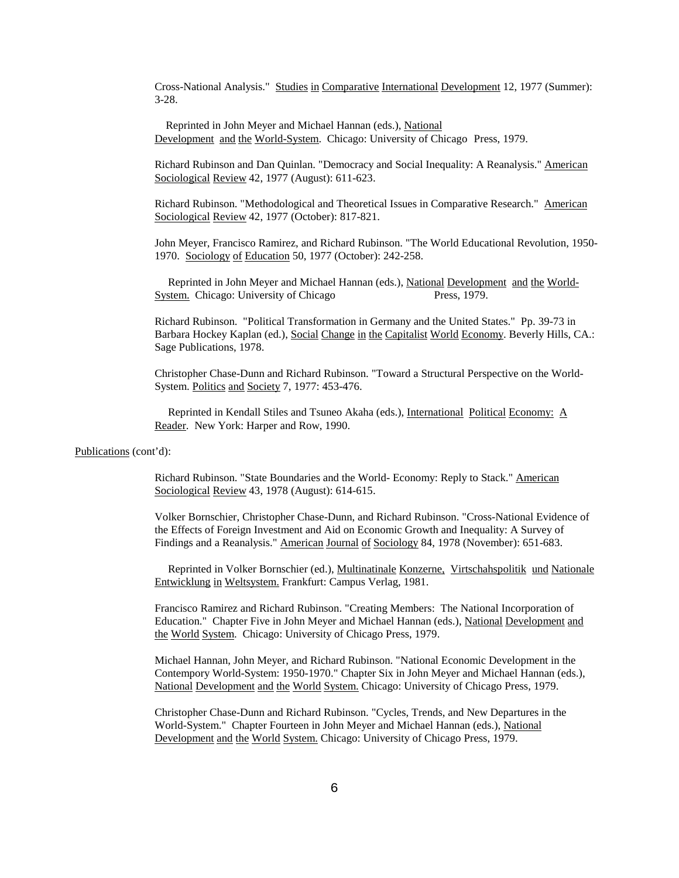Cross-National Analysis." Studies in Comparative International Development 12, 1977 (Summer): 3-28.

 Reprinted in John Meyer and Michael Hannan (eds.), National Development and the World-System. Chicago: University of Chicago Press, 1979.

Richard Rubinson and Dan Quinlan. "Democracy and Social Inequality: A Reanalysis." American Sociological Review 42, 1977 (August): 611-623.

Richard Rubinson. "Methodological and Theoretical Issues in Comparative Research." American Sociological Review 42, 1977 (October): 817-821.

John Meyer, Francisco Ramirez, and Richard Rubinson. "The World Educational Revolution, 1950- 1970. Sociology of Education 50, 1977 (October): 242-258.

Reprinted in John Meyer and Michael Hannan (eds.), National Development and the World-System. Chicago: University of Chicago Press, 1979.

Richard Rubinson. "Political Transformation in Germany and the United States." Pp. 39-73 in Barbara Hockey Kaplan (ed.), Social Change in the Capitalist World Economy. Beverly Hills, CA.: Sage Publications, 1978.

Christopher Chase-Dunn and Richard Rubinson. "Toward a Structural Perspective on the World-System. Politics and Society 7, 1977: 453-476.

Reprinted in Kendall Stiles and Tsuneo Akaha (eds.), International Political Economy: A Reader. New York: Harper and Row, 1990.

#### Publications (cont'd):

Richard Rubinson. "State Boundaries and the World- Economy: Reply to Stack." American Sociological Review 43, 1978 (August): 614-615.

Volker Bornschier, Christopher Chase-Dunn, and Richard Rubinson. "Cross-National Evidence of the Effects of Foreign Investment and Aid on Economic Growth and Inequality: A Survey of Findings and a Reanalysis." American Journal of Sociology 84, 1978 (November): 651-683.

Reprinted in Volker Bornschier (ed.), Multinatinale Konzerne, Virtschahspolitik und Nationale Entwicklung in Weltsystem. Frankfurt: Campus Verlag, 1981.

Francisco Ramirez and Richard Rubinson. "Creating Members: The National Incorporation of Education." Chapter Five in John Meyer and Michael Hannan (eds.), National Development and the World System. Chicago: University of Chicago Press, 1979.

Michael Hannan, John Meyer, and Richard Rubinson. "National Economic Development in the Contempory World-System: 1950-1970." Chapter Six in John Meyer and Michael Hannan (eds.), National Development and the World System. Chicago: University of Chicago Press, 1979.

Christopher Chase-Dunn and Richard Rubinson. "Cycles, Trends, and New Departures in the World-System." Chapter Fourteen in John Meyer and Michael Hannan (eds.), National Development and the World System. Chicago: University of Chicago Press, 1979.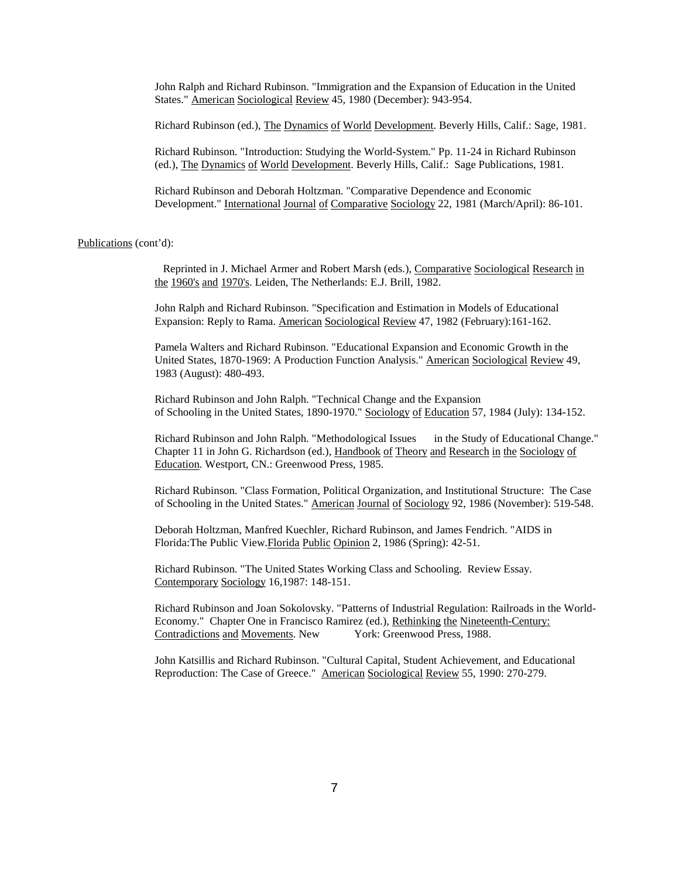John Ralph and Richard Rubinson. "Immigration and the Expansion of Education in the United States." American Sociological Review 45, 1980 (December): 943-954.

Richard Rubinson (ed.), The Dynamics of World Development. Beverly Hills, Calif.: Sage, 1981.

Richard Rubinson. "Introduction: Studying the World-System." Pp. 11-24 in Richard Rubinson (ed.), The Dynamics of World Development. Beverly Hills, Calif.: Sage Publications, 1981.

Richard Rubinson and Deborah Holtzman. "Comparative Dependence and Economic Development." International Journal of Comparative Sociology 22, 1981 (March/April): 86-101.

## Publications (cont'd):

 Reprinted in J. Michael Armer and Robert Marsh (eds.), Comparative Sociological Research in the 1960's and 1970's. Leiden, The Netherlands: E.J. Brill, 1982.

John Ralph and Richard Rubinson. "Specification and Estimation in Models of Educational Expansion: Reply to Rama. American Sociological Review 47, 1982 (February):161-162.

Pamela Walters and Richard Rubinson. "Educational Expansion and Economic Growth in the United States, 1870-1969: A Production Function Analysis." American Sociological Review 49, 1983 (August): 480-493.

Richard Rubinson and John Ralph. "Technical Change and the Expansion of Schooling in the United States, 1890-1970." Sociology of Education 57, 1984 (July): 134-152.

Richard Rubinson and John Ralph. "Methodological Issues in the Study of Educational Change." Chapter 11 in John G. Richardson (ed.), Handbook of Theory and Research in the Sociology of Education. Westport, CN.: Greenwood Press, 1985.

Richard Rubinson. "Class Formation, Political Organization, and Institutional Structure: The Case of Schooling in the United States." American Journal of Sociology 92, 1986 (November): 519-548.

Deborah Holtzman, Manfred Kuechler, Richard Rubinson, and James Fendrich. "AIDS in Florida:The Public View.Florida Public Opinion 2, 1986 (Spring): 42-51.

Richard Rubinson. "The United States Working Class and Schooling. Review Essay. Contemporary Sociology 16,1987: 148-151.

Richard Rubinson and Joan Sokolovsky. "Patterns of Industrial Regulation: Railroads in the World-Economy." Chapter One in Francisco Ramirez (ed.), <u>Rethinking the Nineteenth-Century:</u><br>Contradictions and Movements. New York: Greenwood Press, 1988. Contradictions and Movements. New

John Katsillis and Richard Rubinson. "Cultural Capital, Student Achievement, and Educational Reproduction: The Case of Greece." American Sociological Review 55, 1990: 270-279.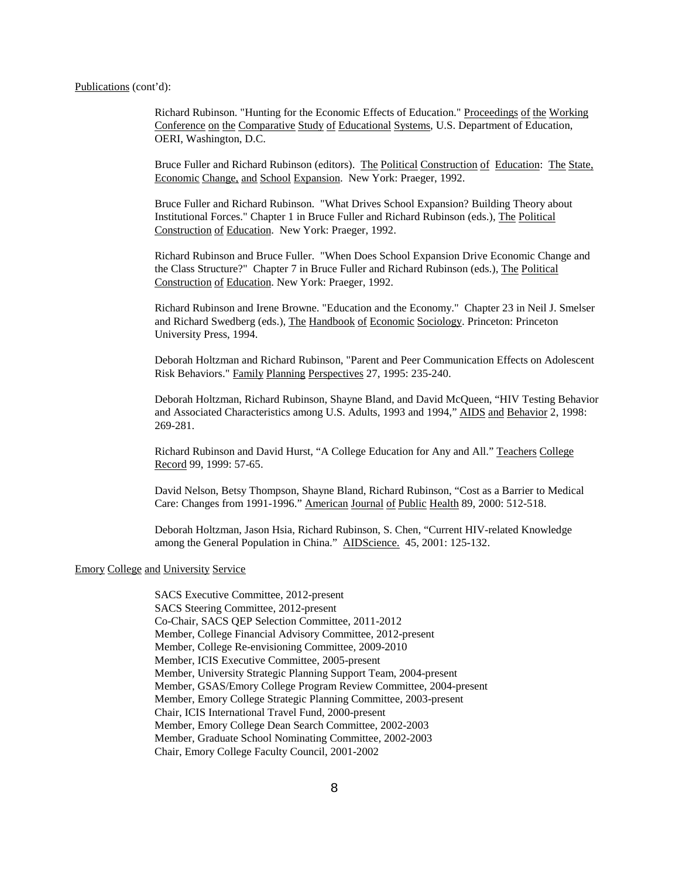#### Publications (cont'd):

Richard Rubinson. "Hunting for the Economic Effects of Education." Proceedings of the Working Conference on the Comparative Study of Educational Systems, U.S. Department of Education, OERI, Washington, D.C.

Bruce Fuller and Richard Rubinson (editors). The Political Construction of Education: The State, Economic Change, and School Expansion. New York: Praeger, 1992.

Bruce Fuller and Richard Rubinson. "What Drives School Expansion? Building Theory about Institutional Forces." Chapter 1 in Bruce Fuller and Richard Rubinson (eds.), The Political Construction of Education. New York: Praeger, 1992.

Richard Rubinson and Bruce Fuller. "When Does School Expansion Drive Economic Change and the Class Structure?" Chapter 7 in Bruce Fuller and Richard Rubinson (eds.), The Political Construction of Education. New York: Praeger, 1992.

Richard Rubinson and Irene Browne. "Education and the Economy." Chapter 23 in Neil J. Smelser and Richard Swedberg (eds.), The Handbook of Economic Sociology. Princeton: Princeton University Press, 1994.

Deborah Holtzman and Richard Rubinson, "Parent and Peer Communication Effects on Adolescent Risk Behaviors." Family Planning Perspectives 27, 1995: 235-240.

Deborah Holtzman, Richard Rubinson, Shayne Bland, and David McQueen, "HIV Testing Behavior and Associated Characteristics among U.S. Adults, 1993 and 1994," AIDS and Behavior 2, 1998: 269-281.

Richard Rubinson and David Hurst, "A College Education for Any and All." Teachers College Record 99, 1999: 57-65.

David Nelson, Betsy Thompson, Shayne Bland, Richard Rubinson, "Cost as a Barrier to Medical Care: Changes from 1991-1996." American Journal of Public Health 89, 2000: 512-518.

Deborah Holtzman, Jason Hsia, Richard Rubinson, S. Chen, "Current HIV-related Knowledge among the General Population in China." AIDScience. 45, 2001: 125-132.

## Emory College and University Service

SACS Executive Committee, 2012-present SACS Steering Committee, 2012-present Co-Chair, SACS QEP Selection Committee, 2011-2012 Member, College Financial Advisory Committee, 2012-present Member, College Re-envisioning Committee, 2009-2010 Member, ICIS Executive Committee, 2005-present Member, University Strategic Planning Support Team, 2004-present Member, GSAS/Emory College Program Review Committee, 2004-present Member, Emory College Strategic Planning Committee, 2003-present Chair, ICIS International Travel Fund, 2000-present Member, Emory College Dean Search Committee, 2002-2003 Member, Graduate School Nominating Committee, 2002-2003 Chair, Emory College Faculty Council, 2001-2002